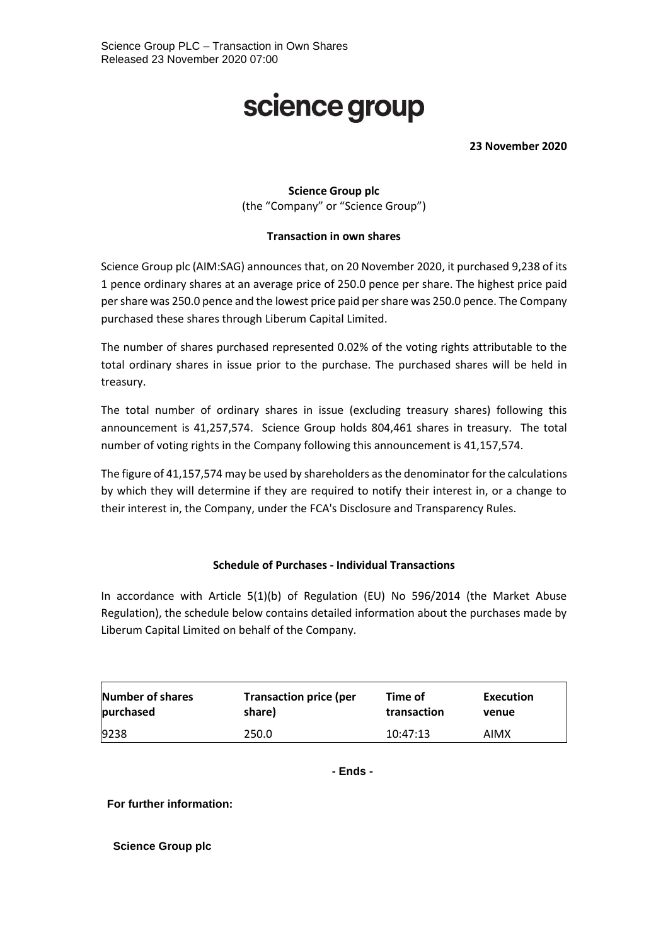## science group

**23 November 2020**

## **Science Group plc** (the "Company" or "Science Group")

## **Transaction in own shares**

Science Group plc (AIM:SAG) announces that, on 20 November 2020, it purchased 9,238 of its 1 pence ordinary shares at an average price of 250.0 pence per share. The highest price paid per share was 250.0 pence and the lowest price paid per share was 250.0 pence. The Company purchased these shares through Liberum Capital Limited.

The number of shares purchased represented 0.02% of the voting rights attributable to the total ordinary shares in issue prior to the purchase. The purchased shares will be held in treasury.

The total number of ordinary shares in issue (excluding treasury shares) following this announcement is 41,257,574. Science Group holds 804,461 shares in treasury. The total number of voting rights in the Company following this announcement is 41,157,574.

The figure of 41,157,574 may be used by shareholders as the denominator for the calculations by which they will determine if they are required to notify their interest in, or a change to their interest in, the Company, under the FCA's Disclosure and Transparency Rules.

## **Schedule of Purchases - Individual Transactions**

In accordance with Article 5(1)(b) of Regulation (EU) No 596/2014 (the Market Abuse Regulation), the schedule below contains detailed information about the purchases made by Liberum Capital Limited on behalf of the Company.

| Number of shares | <b>Transaction price (per</b> | Time of     | Execution   |
|------------------|-------------------------------|-------------|-------------|
| purchased        | share)                        | transaction | venue       |
| 9238             | 250.0                         | 10:47:13    | <b>AIMX</b> |

**- Ends -**

**For further information:**

**Science Group plc**